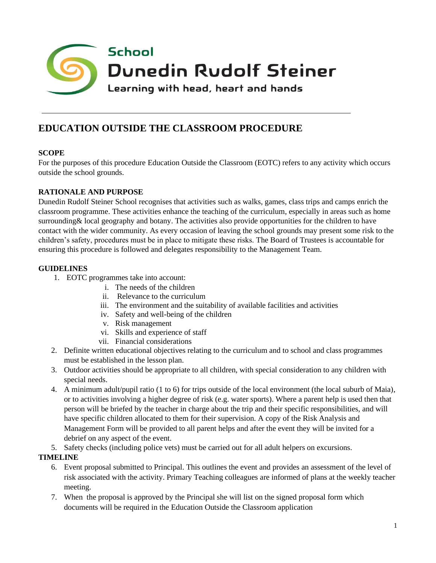

# **EDUCATION OUTSIDE THE CLASSROOM PROCEDURE**

# **SCOPE**

For the purposes of this procedure Education Outside the Classroom (EOTC) refers to any activity which occurs outside the school grounds.

## **RATIONALE AND PURPOSE**

Dunedin Rudolf Steiner School recognises that activities such as walks, games, class trips and camps enrich the classroom programme. These activities enhance the teaching of the curriculum, especially in areas such as home surrounding& local geography and botany. The activities also provide opportunities for the children to have contact with the wider community. As every occasion of leaving the school grounds may present some risk to the children's safety, procedures must be in place to mitigate these risks. The Board of Trustees is accountable for ensuring this procedure is followed and delegates responsibility to the Management Team.

#### **GUIDELINES**

- 1. EOTC programmes take into account:
	- i. The needs of the children
	- ii. Relevance to the curriculum
	- iii. The environment and the suitability of available facilities and activities
	- iv. Safety and well-being of the children
	- v. Risk management
	- vi. Skills and experience of staff
	- vii. Financial considerations
- 2. Definite written educational objectives relating to the curriculum and to school and class programmes must be established in the lesson plan.
- 3. Outdoor activities should be appropriate to all children, with special consideration to any children with special needs.
- 4. A minimum adult/pupil ratio (1 to 6) for trips outside of the local environment (the local suburb of Maia), or to activities involving a higher degree of risk (e.g. water sports). Where a parent help is used then that person will be briefed by the teacher in charge about the trip and their specific responsibilities, and will have specific children allocated to them for their supervision. A copy of the Risk Analysis and Management Form will be provided to all parent helps and after the event they will be invited for a debrief on any aspect of the event.
- 5. Safety checks (including police vets) must be carried out for all adult helpers on excursions.

## **TIMELINE**

- 6. Event proposal submitted to Principal. This outlines the event and provides an assessment of the level of risk associated with the activity. Primary Teaching colleagues are informed of plans at the weekly teacher meeting.
- 7. When the proposal is approved by the Principal she will list on the signed proposal form which documents will be required in the Education Outside the Classroom application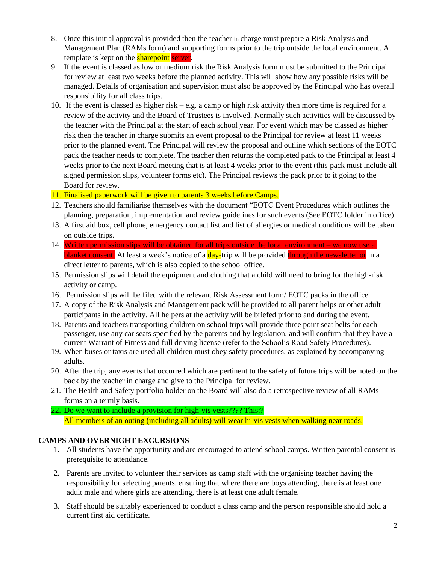- 8. Once this initial approval is provided then the teacher in charge must prepare a Risk Analysis and Management Plan (RAMs form) and supporting forms prior to the trip outside the local environment. A template is kept on the **sharepoint** server.
- 9. If the event is classed as low or medium risk the Risk Analysis form must be submitted to the Principal for review at least two weeks before the planned activity. This will show how any possible risks will be managed. Details of organisation and supervision must also be approved by the Principal who has overall responsibility for all class trips.
- 10. If the event is classed as higher risk e.g. a camp or high risk activity then more time is required for a review of the activity and the Board of Trustees is involved. Normally such activities will be discussed by the teacher with the Principal at the start of each school year. For event which may be classed as higher risk then the teacher in charge submits an event proposal to the Principal for review at least 11 weeks prior to the planned event. The Principal will review the proposal and outline which sections of the EOTC pack the teacher needs to complete. The teacher then returns the completed pack to the Principal at least 4 weeks prior to the next Board meeting that is at least 4 weeks prior to the event (this pack must include all signed permission slips, volunteer forms etc). The Principal reviews the pack prior to it going to the Board for review.

#### 11. Finalised paperwork will be given to parents 3 weeks before Camps.

- 12. Teachers should familiarise themselves with the document "EOTC Event Procedures which outlines the planning, preparation, implementation and review guidelines for such events (See EOTC folder in office).
- 13. A first aid box, cell phone, emergency contact list and list of allergies or medical conditions will be taken on outside trips.
- 14. Written permission slips will be obtained for all trips outside the local environment we now use a blanket consent. At least a week's notice of a day-trip will be provided through the newsletter or in a direct letter to parents, which is also copied to the school office.
- 15. Permission slips will detail the equipment and clothing that a child will need to bring for the high-risk activity or camp.
- 16. Permission slips will be filed with the relevant Risk Assessment form/ EOTC packs in the office.
- 17. A copy of the Risk Analysis and Management pack will be provided to all parent helps or other adult participants in the activity. All helpers at the activity will be briefed prior to and during the event.
- 18. Parents and teachers transporting children on school trips will provide three point seat belts for each passenger, use any car seats specified by the parents and by legislation, and will confirm that they have a current Warrant of Fitness and full driving license (refer to the School's Road Safety Procedures).
- 19. When buses or taxis are used all children must obey safety procedures, as explained by accompanying adults.
- 20. After the trip, any events that occurred which are pertinent to the safety of future trips will be noted on the back by the teacher in charge and give to the Principal for review.
- 21. The Health and Safety portfolio holder on the Board will also do a retrospective review of all RAMs forms on a termly basis.
- 22. Do we want to include a provision for high-vis vests???? This:? All members of an outing (including all adults) will wear hi-vis vests when walking near roads.

#### **CAMPS AND OVERNIGHT EXCURSIONS**

- 1. All students have the opportunity and are encouraged to attend school camps. Written parental consent is prerequisite to attendance.
- 2. Parents are invited to volunteer their services as camp staff with the organising teacher having the responsibility for selecting parents, ensuring that where there are boys attending, there is at least one adult male and where girls are attending, there is at least one adult female.
- 3. Staff should be suitably experienced to conduct a class camp and the person responsible should hold a current first aid certificate.